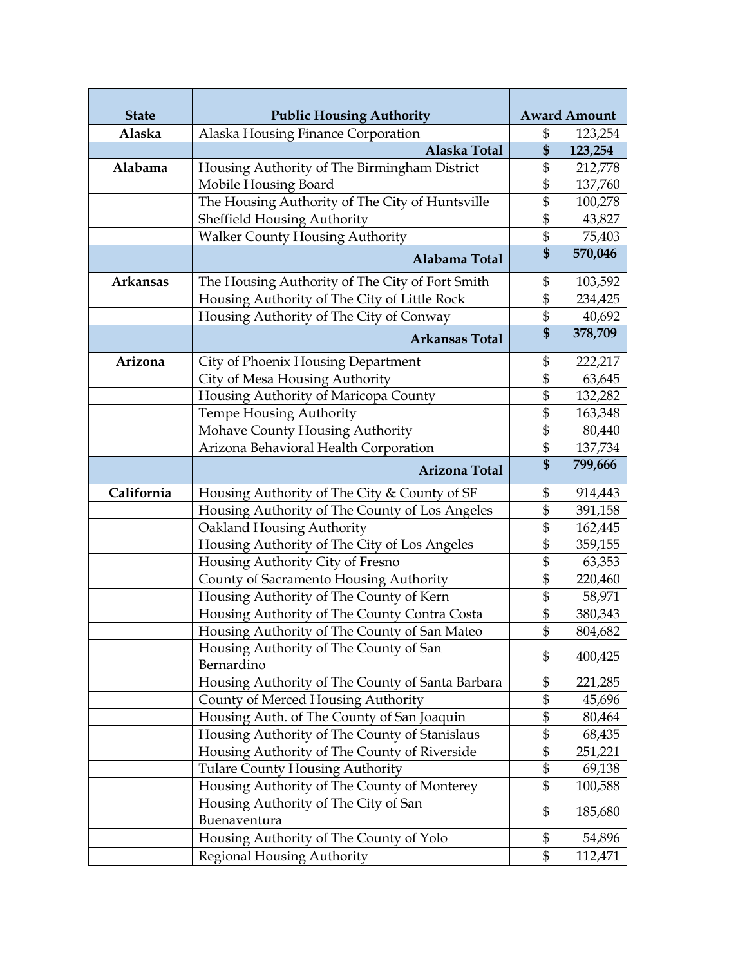| <b>State</b>    | <b>Public Housing Authority</b>                      |                   | <b>Award Amount</b> |
|-----------------|------------------------------------------------------|-------------------|---------------------|
| Alaska          | Alaska Housing Finance Corporation                   | \$                | 123,254             |
|                 | Alaska Total                                         | \$                | 123,254             |
| Alabama         | Housing Authority of The Birmingham District         | \$                | 212,778             |
|                 | Mobile Housing Board                                 | \$                | 137,760             |
|                 | The Housing Authority of The City of Huntsville      | \$                | 100,278             |
|                 | <b>Sheffield Housing Authority</b>                   | \$                | 43,827              |
|                 | <b>Walker County Housing Authority</b>               | \$                | 75,403              |
|                 | Alabama Total                                        | \$                | 570,046             |
| <b>Arkansas</b> | The Housing Authority of The City of Fort Smith      | \$                | 103,592             |
|                 | Housing Authority of The City of Little Rock         | \$                | 234,425             |
|                 | Housing Authority of The City of Conway              | \$                | 40,692              |
|                 | <b>Arkansas Total</b>                                | $\boldsymbol{\$}$ | 378,709             |
| Arizona         | City of Phoenix Housing Department                   | \$                | 222,217             |
|                 | City of Mesa Housing Authority                       | \$                | 63,645              |
|                 | Housing Authority of Maricopa County                 | \$                | 132,282             |
|                 | <b>Tempe Housing Authority</b>                       | \$                | 163,348             |
|                 | Mohave County Housing Authority                      | \$                | 80,440              |
|                 | Arizona Behavioral Health Corporation                | \$                | 137,734             |
|                 | <b>Arizona Total</b>                                 | \$                | 799,666             |
| California      | Housing Authority of The City & County of SF         | \$                | 914,443             |
|                 | Housing Authority of The County of Los Angeles       | \$                | 391,158             |
|                 | Oakland Housing Authority                            | \$                | 162,445             |
|                 | Housing Authority of The City of Los Angeles         | \$                | 359,155             |
|                 | Housing Authority City of Fresno                     | \$                | 63,353              |
|                 | County of Sacramento Housing Authority               | \$                | 220,460             |
|                 | Housing Authority of The County of Kern              | \$                | 58,971              |
|                 | Housing Authority of The County Contra Costa         | \$                | 380,343             |
|                 | Housing Authority of The County of San Mateo         | \$                | 804,682             |
|                 | Housing Authority of The County of San<br>Bernardino | \$                | 400,425             |
|                 | Housing Authority of The County of Santa Barbara     | \$                | 221,285             |
|                 | County of Merced Housing Authority                   | \$                | 45,696              |
|                 | Housing Auth. of The County of San Joaquin           | \$                | 80,464              |
|                 | Housing Authority of The County of Stanislaus        | \$                | 68,435              |
|                 | Housing Authority of The County of Riverside         | \$                | 251,221             |
|                 | <b>Tulare County Housing Authority</b>               | \$                | 69,138              |
|                 | Housing Authority of The County of Monterey          | \$                | 100,588             |
|                 | Housing Authority of The City of San<br>Buenaventura | \$                | 185,680             |
|                 | Housing Authority of The County of Yolo              | \$                | 54,896              |
|                 | <b>Regional Housing Authority</b>                    | \$                | 112,471             |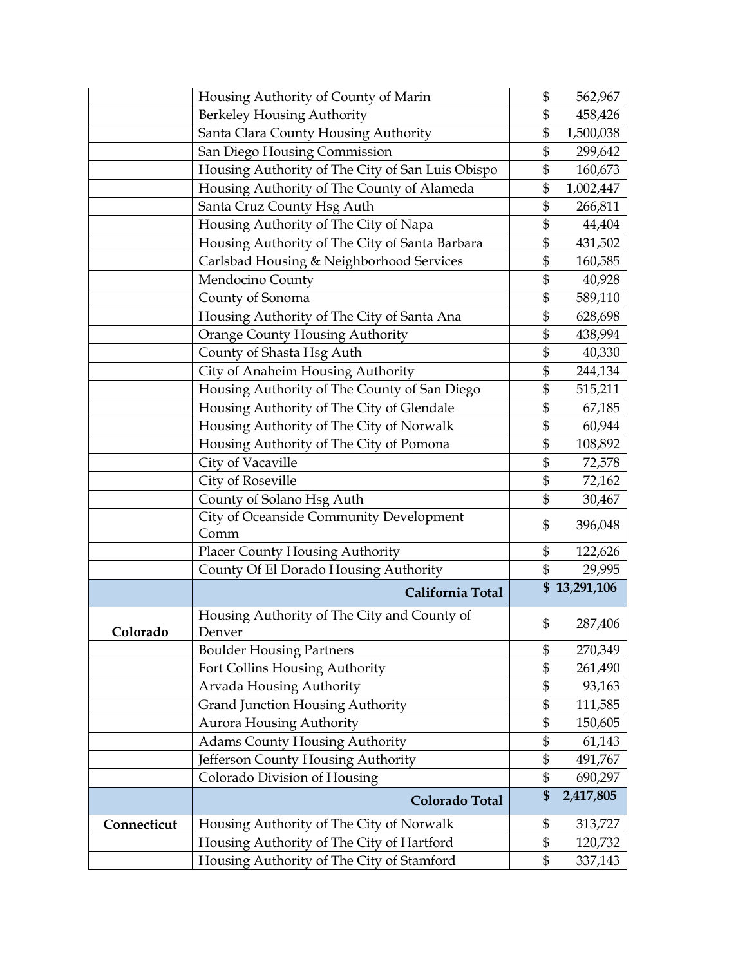|             | Housing Authority of County of Marin                  | \$             | 562,967      |
|-------------|-------------------------------------------------------|----------------|--------------|
|             | Berkeley Housing Authority                            | \$             | 458,426      |
|             | Santa Clara County Housing Authority                  | \$             | 1,500,038    |
|             | San Diego Housing Commission                          | \$             | 299,642      |
|             | Housing Authority of The City of San Luis Obispo      | \$             | 160,673      |
|             | Housing Authority of The County of Alameda            | \$             | 1,002,447    |
|             | Santa Cruz County Hsg Auth                            | \$             | 266,811      |
|             | Housing Authority of The City of Napa                 | \$             | 44,404       |
|             | Housing Authority of The City of Santa Barbara        | \$             | 431,502      |
|             | Carlsbad Housing & Neighborhood Services              | \$             | 160,585      |
|             | Mendocino County                                      | \$             | 40,928       |
|             | County of Sonoma                                      | \$             | 589,110      |
|             | Housing Authority of The City of Santa Ana            | \$             | 628,698      |
|             | <b>Orange County Housing Authority</b>                | \$             | 438,994      |
|             | County of Shasta Hsg Auth                             | \$             | 40,330       |
|             | City of Anaheim Housing Authority                     | \$             | 244,134      |
|             | Housing Authority of The County of San Diego          | \$             | 515,211      |
|             | Housing Authority of The City of Glendale             | \$             | 67,185       |
|             | Housing Authority of The City of Norwalk              | \$             | 60,944       |
|             | Housing Authority of The City of Pomona               | \$             | 108,892      |
|             | City of Vacaville                                     | \$             | 72,578       |
|             | City of Roseville                                     | \$             | 72,162       |
|             | County of Solano Hsg Auth                             | \$             | 30,467       |
|             | City of Oceanside Community Development               | \$             | 396,048      |
|             | Comm                                                  |                |              |
|             | <b>Placer County Housing Authority</b>                | \$             | 122,626      |
|             | County Of El Dorado Housing Authority                 | $\mathfrak{S}$ | 29,995       |
|             | California Total                                      |                | \$13,291,106 |
| Colorado    | Housing Authority of The City and County of<br>Denver | \$             | 287,406      |
|             | <b>Boulder Housing Partners</b>                       | \$             | 270,349      |
|             | Fort Collins Housing Authority                        | \$             | 261,490      |
|             | Arvada Housing Authority                              | \$             | 93,163       |
|             | Grand Junction Housing Authority                      | \$             | 111,585      |
|             | <b>Aurora Housing Authority</b>                       | \$             | 150,605      |
|             | <b>Adams County Housing Authority</b>                 | \$             | 61,143       |
|             | Jefferson County Housing Authority                    | \$             | 491,767      |
|             | Colorado Division of Housing                          | \$             | 690,297      |
|             | Colorado Total                                        | \$             | 2,417,805    |
| Connecticut | Housing Authority of The City of Norwalk              | \$             | 313,727      |
|             | Housing Authority of The City of Hartford             | \$             | 120,732      |
|             | Housing Authority of The City of Stamford             | \$             | 337,143      |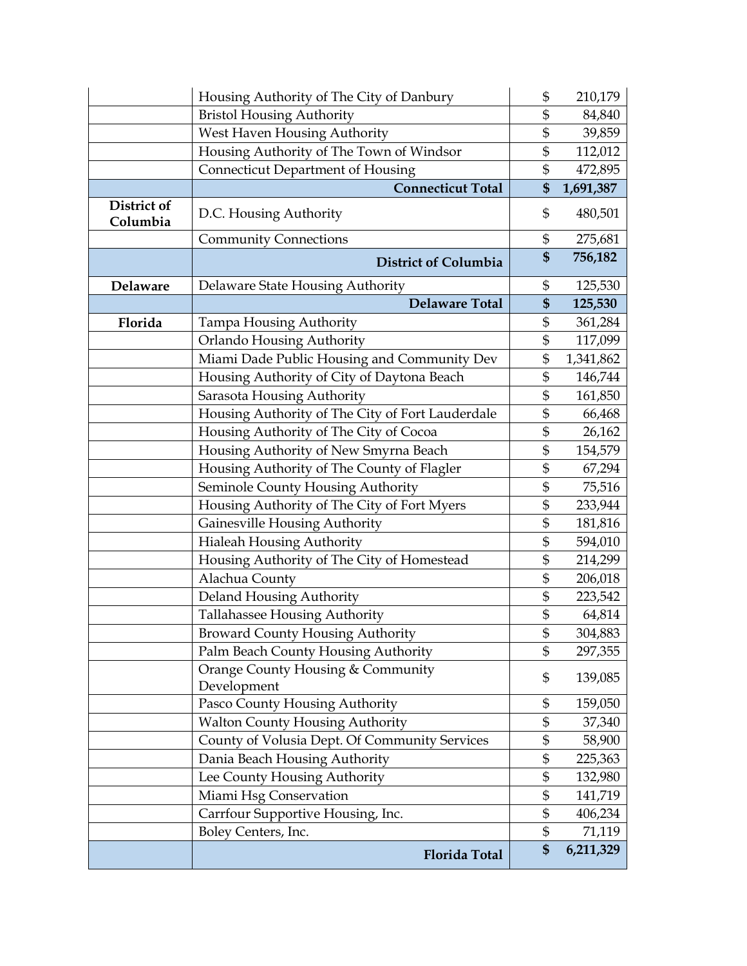|                         | Housing Authority of The City of Danbury         | \$<br>210,179   |
|-------------------------|--------------------------------------------------|-----------------|
|                         | <b>Bristol Housing Authority</b>                 | \$<br>84,840    |
|                         | West Haven Housing Authority                     | \$<br>39,859    |
|                         | Housing Authority of The Town of Windsor         | \$<br>112,012   |
|                         | <b>Connecticut Department of Housing</b>         | \$<br>472,895   |
|                         | <b>Connecticut Total</b>                         | \$<br>1,691,387 |
| District of<br>Columbia | D.C. Housing Authority                           | \$<br>480,501   |
|                         | <b>Community Connections</b>                     | \$<br>275,681   |
|                         | <b>District of Columbia</b>                      | \$<br>756,182   |
| Delaware                | Delaware State Housing Authority                 | \$<br>125,530   |
|                         | <b>Delaware Total</b>                            | \$<br>125,530   |
| Florida                 | Tampa Housing Authority                          | \$<br>361,284   |
|                         | Orlando Housing Authority                        | \$<br>117,099   |
|                         | Miami Dade Public Housing and Community Dev      | \$<br>1,341,862 |
|                         | Housing Authority of City of Daytona Beach       | \$<br>146,744   |
|                         | Sarasota Housing Authority                       | \$<br>161,850   |
|                         | Housing Authority of The City of Fort Lauderdale | \$<br>66,468    |
|                         | Housing Authority of The City of Cocoa           | \$<br>26,162    |
|                         | Housing Authority of New Smyrna Beach            | \$<br>154,579   |
|                         | Housing Authority of The County of Flagler       | \$<br>67,294    |
|                         | Seminole County Housing Authority                | \$<br>75,516    |
|                         | Housing Authority of The City of Fort Myers      | \$<br>233,944   |
|                         | Gainesville Housing Authority                    | \$<br>181,816   |
|                         | <b>Hialeah Housing Authority</b>                 | \$<br>594,010   |
|                         | Housing Authority of The City of Homestead       | \$<br>214,299   |
|                         | Alachua County                                   | \$<br>206,018   |
|                         | Deland Housing Authority                         | \$<br>223,542   |
|                         | Tallahassee Housing Authority                    | \$<br>64,814    |
|                         | <b>Broward County Housing Authority</b>          | \$<br>304,883   |
|                         | Palm Beach County Housing Authority              | \$<br>297,355   |
|                         | Orange County Housing & Community<br>Development | \$<br>139,085   |
|                         | Pasco County Housing Authority                   | \$<br>159,050   |
|                         | <b>Walton County Housing Authority</b>           | \$<br>37,340    |
|                         | County of Volusia Dept. Of Community Services    | \$<br>58,900    |
|                         | Dania Beach Housing Authority                    | \$<br>225,363   |
|                         | Lee County Housing Authority                     | \$<br>132,980   |
|                         | Miami Hsg Conservation                           | \$<br>141,719   |
|                         | Carrfour Supportive Housing, Inc.                | \$<br>406,234   |
|                         | Boley Centers, Inc.                              | \$<br>71,119    |
|                         | <b>Florida Total</b>                             | \$<br>6,211,329 |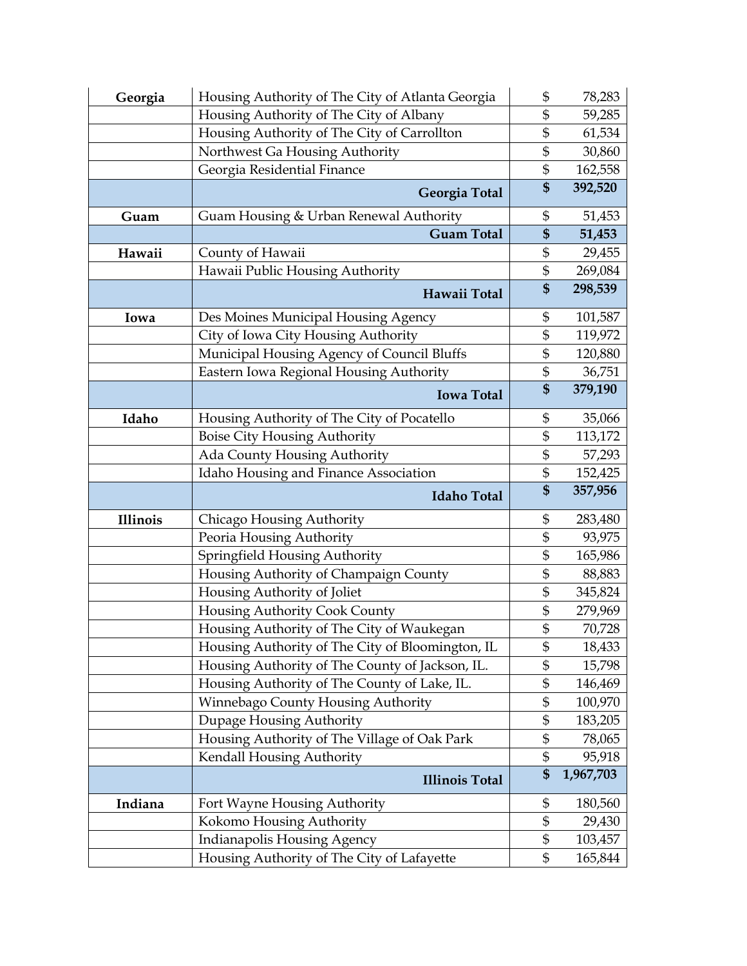| Georgia         | Housing Authority of The City of Atlanta Georgia                          | \$              | 78,283    |
|-----------------|---------------------------------------------------------------------------|-----------------|-----------|
|                 | Housing Authority of The City of Albany                                   | \$              | 59,285    |
|                 | Housing Authority of The City of Carrollton                               | \$              | 61,534    |
|                 | Northwest Ga Housing Authority                                            | \$              | 30,860    |
|                 | Georgia Residential Finance                                               | \$              | 162,558   |
|                 | <b>Georgia Total</b>                                                      | \$              | 392,520   |
| Guam            | Guam Housing & Urban Renewal Authority                                    | \$              | 51,453    |
|                 | <b>Guam Total</b>                                                         | \$              | 51,453    |
| Hawaii          | County of Hawaii                                                          | \$              | 29,455    |
|                 | Hawaii Public Housing Authority                                           | \$              | 269,084   |
|                 | Hawaii Total                                                              | \$              | 298,539   |
| Iowa            | Des Moines Municipal Housing Agency                                       | \$              | 101,587   |
|                 | City of Iowa City Housing Authority                                       | \$              | 119,972   |
|                 | Municipal Housing Agency of Council Bluffs                                | \$              | 120,880   |
|                 | Eastern Iowa Regional Housing Authority                                   | \$              | 36,751    |
|                 | <b>Iowa Total</b>                                                         | \$              | 379,190   |
| Idaho           | Housing Authority of The City of Pocatello                                | \$              | 35,066    |
|                 | <b>Boise City Housing Authority</b>                                       | \$              | 113,172   |
|                 | Ada County Housing Authority                                              | \$              | 57,293    |
|                 | Idaho Housing and Finance Association                                     | \$              | 152,425   |
|                 |                                                                           |                 |           |
|                 | <b>Idaho Total</b>                                                        | \$              | 357,956   |
| <b>Illinois</b> | Chicago Housing Authority                                                 | \$              | 283,480   |
|                 | Peoria Housing Authority                                                  | \$              | 93,975    |
|                 | Springfield Housing Authority                                             | \$              | 165,986   |
|                 | Housing Authority of Champaign County                                     | \$              | 88,883    |
|                 | Housing Authority of Joliet                                               | \$              | 345,824   |
|                 | Housing Authority Cook County                                             | \$              | 279,969   |
|                 | Housing Authority of The City of Waukegan                                 | \$              | 70,728    |
|                 | Housing Authority of The City of Bloomington, IL                          | \$              | 18,433    |
|                 | Housing Authority of The County of Jackson, IL.                           | \$              | 15,798    |
|                 | Housing Authority of The County of Lake, IL.                              | \$              | 146,469   |
|                 | Winnebago County Housing Authority                                        | \$              | 100,970   |
|                 | Dupage Housing Authority                                                  | \$              | 183,205   |
|                 | Housing Authority of The Village of Oak Park                              | \$              | 78,065    |
|                 | Kendall Housing Authority                                                 | \$              | 95,918    |
|                 | <b>Illinois Total</b>                                                     | $\overline{\$}$ | 1,967,703 |
| Indiana         | Fort Wayne Housing Authority                                              | \$              | 180,560   |
|                 | Kokomo Housing Authority                                                  | \$              | 29,430    |
|                 | Indianapolis Housing Agency<br>Housing Authority of The City of Lafayette | \$<br>\$        | 103,457   |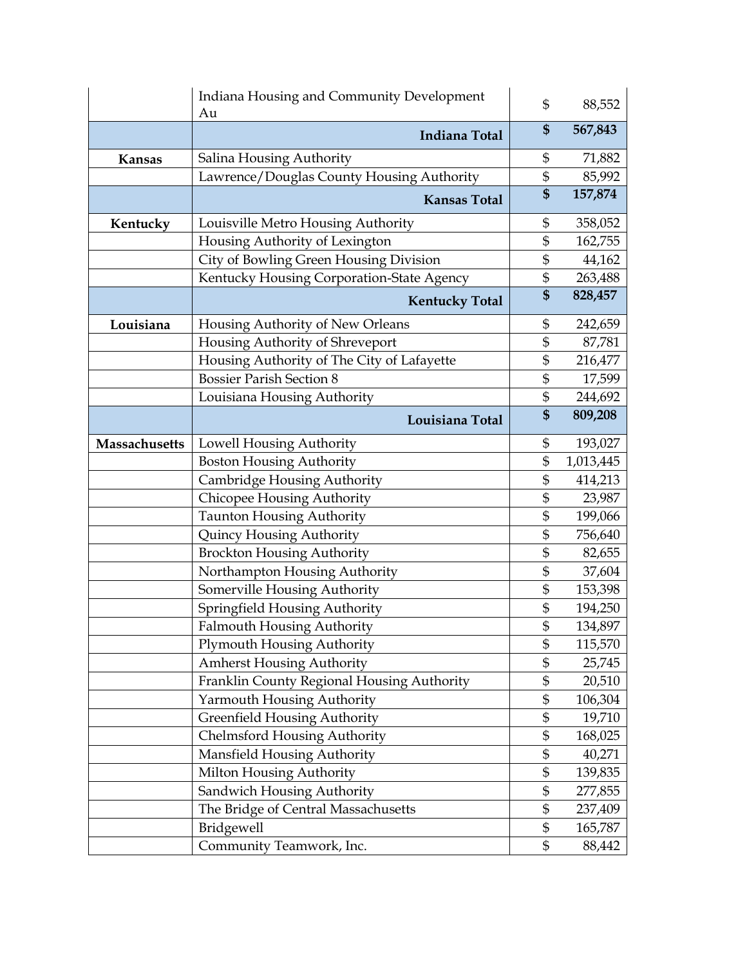|               | Indiana Housing and Community Development<br>Au | \$<br>88,552    |
|---------------|-------------------------------------------------|-----------------|
|               | <b>Indiana Total</b>                            | \$<br>567,843   |
| Kansas        | Salina Housing Authority                        | \$<br>71,882    |
|               | Lawrence/Douglas County Housing Authority       | \$<br>85,992    |
|               | <b>Kansas Total</b>                             | \$<br>157,874   |
| Kentucky      | Louisville Metro Housing Authority              | \$<br>358,052   |
|               | Housing Authority of Lexington                  | \$<br>162,755   |
|               | City of Bowling Green Housing Division          | \$<br>44,162    |
|               | Kentucky Housing Corporation-State Agency       | \$<br>263,488   |
|               | <b>Kentucky Total</b>                           | \$<br>828,457   |
| Louisiana     | Housing Authority of New Orleans                | \$<br>242,659   |
|               | Housing Authority of Shreveport                 | \$<br>87,781    |
|               | Housing Authority of The City of Lafayette      | \$<br>216,477   |
|               | <b>Bossier Parish Section 8</b>                 | \$<br>17,599    |
|               | Louisiana Housing Authority                     | \$<br>244,692   |
|               | Louisiana Total                                 | \$<br>809,208   |
| Massachusetts | Lowell Housing Authority                        | \$<br>193,027   |
|               | <b>Boston Housing Authority</b>                 | \$<br>1,013,445 |
|               | Cambridge Housing Authority                     | \$<br>414,213   |
|               | Chicopee Housing Authority                      | \$<br>23,987    |
|               | <b>Taunton Housing Authority</b>                | \$<br>199,066   |
|               | Quincy Housing Authority                        | \$<br>756,640   |
|               | <b>Brockton Housing Authority</b>               | \$<br>82,655    |
|               | Northampton Housing Authority                   | \$<br>37,604    |
|               | Somerville Housing Authority                    | \$<br>153,398   |
|               | Springfield Housing Authority                   | \$<br>194,250   |
|               | <b>Falmouth Housing Authority</b>               | \$<br>134,897   |
|               | <b>Plymouth Housing Authority</b>               | \$<br>115,570   |
|               | <b>Amherst Housing Authority</b>                | \$<br>25,745    |
|               | Franklin County Regional Housing Authority      | \$<br>20,510    |
|               | Yarmouth Housing Authority                      | \$<br>106,304   |
|               | <b>Greenfield Housing Authority</b>             | \$<br>19,710    |
|               | <b>Chelmsford Housing Authority</b>             | \$<br>168,025   |
|               | Mansfield Housing Authority                     | \$<br>40,271    |
|               | Milton Housing Authority                        | \$<br>139,835   |
|               | Sandwich Housing Authority                      | \$<br>277,855   |
|               | The Bridge of Central Massachusetts             | \$<br>237,409   |
|               | Bridgewell                                      | \$<br>165,787   |
|               | Community Teamwork, Inc.                        | \$<br>88,442    |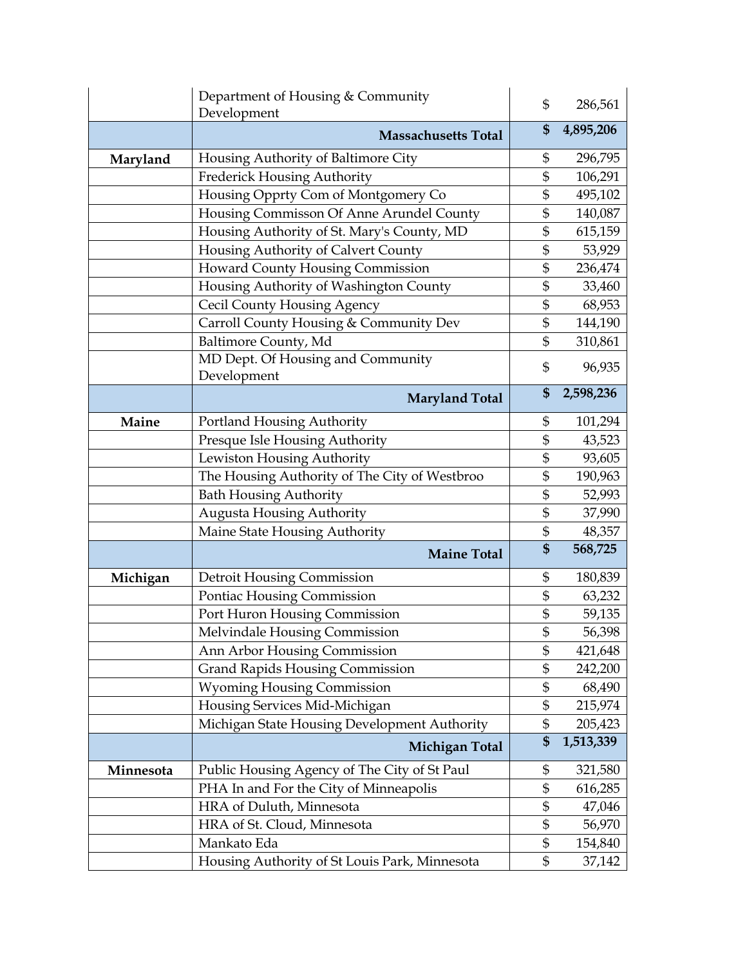|           | Department of Housing & Community             | \$<br>286,561   |
|-----------|-----------------------------------------------|-----------------|
|           | Development                                   |                 |
|           | <b>Massachusetts Total</b>                    | \$<br>4,895,206 |
| Maryland  | Housing Authority of Baltimore City           | \$<br>296,795   |
|           | Frederick Housing Authority                   | \$<br>106,291   |
|           | Housing Opprty Com of Montgomery Co           | \$<br>495,102   |
|           | Housing Commisson Of Anne Arundel County      | \$<br>140,087   |
|           | Housing Authority of St. Mary's County, MD    | \$<br>615,159   |
|           | Housing Authority of Calvert County           | \$<br>53,929    |
|           | Howard County Housing Commission              | \$<br>236,474   |
|           | Housing Authority of Washington County        | \$<br>33,460    |
|           | <b>Cecil County Housing Agency</b>            | \$<br>68,953    |
|           | Carroll County Housing & Community Dev        | \$<br>144,190   |
|           | Baltimore County, Md                          | \$<br>310,861   |
|           | MD Dept. Of Housing and Community             | \$<br>96,935    |
|           | Development                                   |                 |
|           | <b>Maryland Total</b>                         | \$<br>2,598,236 |
| Maine     | Portland Housing Authority                    | \$<br>101,294   |
|           | Presque Isle Housing Authority                | \$<br>43,523    |
|           | Lewiston Housing Authority                    | \$<br>93,605    |
|           | The Housing Authority of The City of Westbroo | \$<br>190,963   |
|           | <b>Bath Housing Authority</b>                 | \$<br>52,993    |
|           | <b>Augusta Housing Authority</b>              | \$<br>37,990    |
|           | Maine State Housing Authority                 | \$<br>48,357    |
|           | <b>Maine Total</b>                            | \$<br>568,725   |
| Michigan  | Detroit Housing Commission                    | \$<br>180,839   |
|           | Pontiac Housing Commission                    | \$<br>63,232    |
|           | Port Huron Housing Commission                 | \$<br>59,135    |
|           | Melvindale Housing Commission                 | \$<br>56,398    |
|           | Ann Arbor Housing Commission                  | \$<br>421,648   |
|           | <b>Grand Rapids Housing Commission</b>        | \$<br>242,200   |
|           | <b>Wyoming Housing Commission</b>             | \$<br>68,490    |
|           | Housing Services Mid-Michigan                 | \$<br>215,974   |
|           | Michigan State Housing Development Authority  | \$<br>205,423   |
|           | Michigan Total                                | \$<br>1,513,339 |
| Minnesota | Public Housing Agency of The City of St Paul  | \$<br>321,580   |
|           | PHA In and For the City of Minneapolis        | \$<br>616,285   |
|           | HRA of Duluth, Minnesota                      | \$<br>47,046    |
|           | HRA of St. Cloud, Minnesota                   | \$<br>56,970    |
|           | Mankato Eda                                   | \$<br>154,840   |
|           | Housing Authority of St Louis Park, Minnesota | \$<br>37,142    |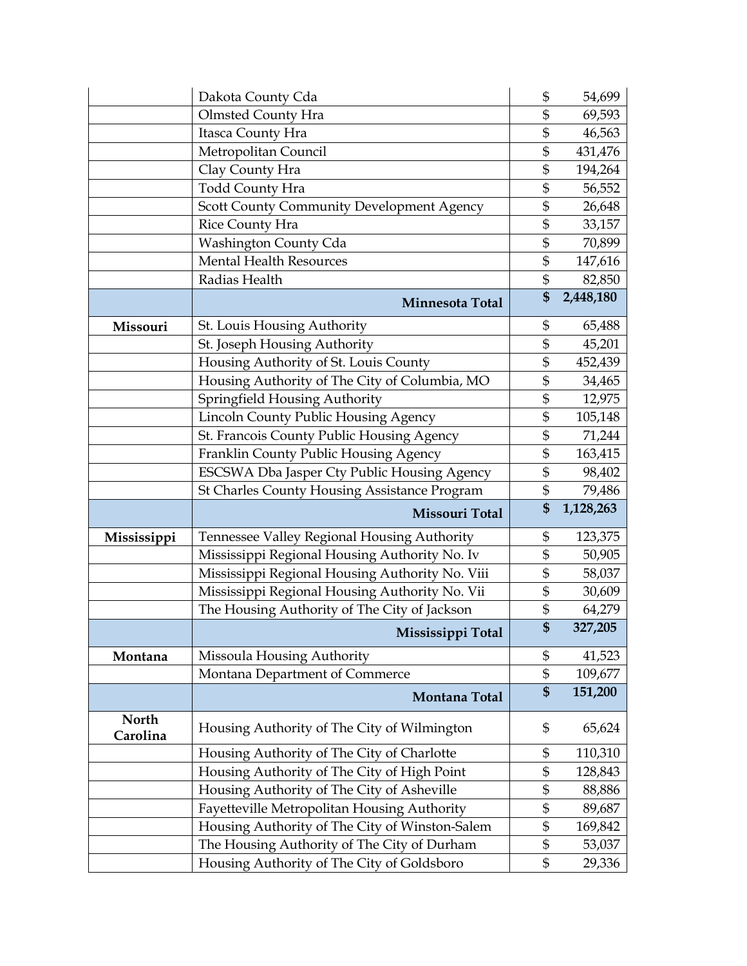|                   | Dakota County Cda                                   | \$<br>54,699    |
|-------------------|-----------------------------------------------------|-----------------|
|                   | <b>Olmsted County Hra</b>                           | \$<br>69,593    |
|                   | Itasca County Hra                                   | \$<br>46,563    |
|                   | Metropolitan Council                                | \$<br>431,476   |
|                   | Clay County Hra                                     | \$<br>194,264   |
|                   | <b>Todd County Hra</b>                              | \$<br>56,552    |
|                   | <b>Scott County Community Development Agency</b>    | \$<br>26,648    |
|                   | Rice County Hra                                     | \$<br>33,157    |
|                   | Washington County Cda                               | \$<br>70,899    |
|                   | <b>Mental Health Resources</b>                      | \$<br>147,616   |
|                   | Radias Health                                       | \$<br>82,850    |
|                   | Minnesota Total                                     | \$<br>2,448,180 |
| Missouri          | St. Louis Housing Authority                         | \$<br>65,488    |
|                   | St. Joseph Housing Authority                        | \$<br>45,201    |
|                   | Housing Authority of St. Louis County               | \$<br>452,439   |
|                   | Housing Authority of The City of Columbia, MO       | \$<br>34,465    |
|                   | Springfield Housing Authority                       | \$<br>12,975    |
|                   | Lincoln County Public Housing Agency                | \$<br>105,148   |
|                   | St. Francois County Public Housing Agency           | \$<br>71,244    |
|                   | Franklin County Public Housing Agency               | \$<br>163,415   |
|                   | <b>ESCSWA Dba Jasper Cty Public Housing Agency</b>  | \$<br>98,402    |
|                   | <b>St Charles County Housing Assistance Program</b> | \$<br>79,486    |
|                   | Missouri Total                                      | \$<br>1,128,263 |
|                   |                                                     |                 |
| Mississippi       | Tennessee Valley Regional Housing Authority         | \$<br>123,375   |
|                   | Mississippi Regional Housing Authority No. Iv       | \$<br>50,905    |
|                   | Mississippi Regional Housing Authority No. Viii     | \$<br>58,037    |
|                   | Mississippi Regional Housing Authority No. Vii      | \$<br>30,609    |
|                   | The Housing Authority of The City of Jackson        | \$<br>64,279    |
|                   | Mississippi Total                                   | \$<br>327,205   |
| Montana           | Missoula Housing Authority                          | \$<br>41,523    |
|                   | Montana Department of Commerce                      | \$<br>109,677   |
|                   | Montana Total                                       | \$<br>151,200   |
| North<br>Carolina | Housing Authority of The City of Wilmington         | \$<br>65,624    |
|                   | Housing Authority of The City of Charlotte          | \$<br>110,310   |
|                   | Housing Authority of The City of High Point         | \$<br>128,843   |
|                   | Housing Authority of The City of Asheville          | \$<br>88,886    |
|                   | Fayetteville Metropolitan Housing Authority         | \$<br>89,687    |
|                   | Housing Authority of The City of Winston-Salem      | \$<br>169,842   |
|                   | The Housing Authority of The City of Durham         | \$<br>53,037    |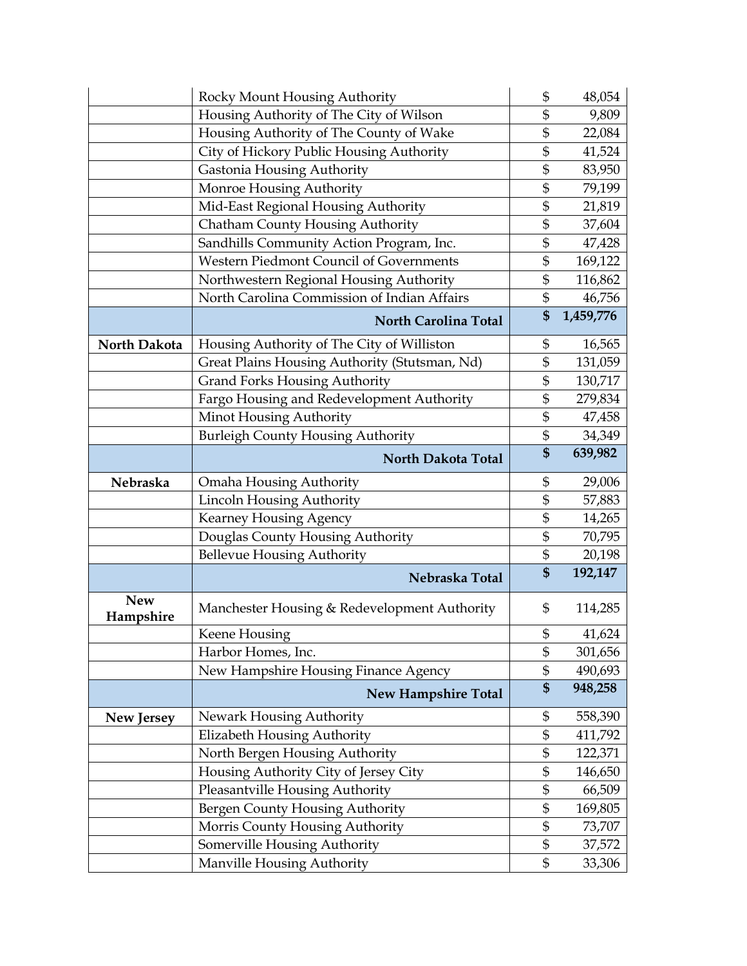|                         | Rocky Mount Housing Authority                 | \$<br>48,054    |
|-------------------------|-----------------------------------------------|-----------------|
|                         | Housing Authority of The City of Wilson       | \$<br>9,809     |
|                         | Housing Authority of The County of Wake       | \$<br>22,084    |
|                         | City of Hickory Public Housing Authority      | \$<br>41,524    |
|                         | Gastonia Housing Authority                    | \$<br>83,950    |
|                         | Monroe Housing Authority                      | \$<br>79,199    |
|                         | Mid-East Regional Housing Authority           | \$<br>21,819    |
|                         | Chatham County Housing Authority              | \$<br>37,604    |
|                         | Sandhills Community Action Program, Inc.      | \$<br>47,428    |
|                         | Western Piedmont Council of Governments       | \$<br>169,122   |
|                         | Northwestern Regional Housing Authority       | \$<br>116,862   |
|                         | North Carolina Commission of Indian Affairs   | \$<br>46,756    |
|                         | <b>North Carolina Total</b>                   | \$<br>1,459,776 |
| North Dakota            | Housing Authority of The City of Williston    | \$<br>16,565    |
|                         | Great Plains Housing Authority (Stutsman, Nd) | \$<br>131,059   |
|                         | <b>Grand Forks Housing Authority</b>          | \$<br>130,717   |
|                         | Fargo Housing and Redevelopment Authority     | \$<br>279,834   |
|                         | Minot Housing Authority                       | \$<br>47,458    |
|                         | <b>Burleigh County Housing Authority</b>      | \$<br>34,349    |
|                         | North Dakota Total                            | \$<br>639,982   |
| Nebraska                | <b>Omaha Housing Authority</b>                | \$<br>29,006    |
|                         | Lincoln Housing Authority                     | \$<br>57,883    |
|                         | Kearney Housing Agency                        | \$<br>14,265    |
|                         | Douglas County Housing Authority              | \$<br>70,795    |
|                         | <b>Bellevue Housing Authority</b>             | \$<br>20,198    |
|                         | Nebraska Total                                | \$<br>192,147   |
| <b>New</b><br>Hampshire | Manchester Housing & Redevelopment Authority  | \$<br>114,285   |
|                         | Keene Housing                                 | \$<br>41,624    |
|                         | Harbor Homes, Inc.                            | \$<br>301,656   |
|                         | New Hampshire Housing Finance Agency          | \$<br>490,693   |
|                         | <b>New Hampshire Total</b>                    | \$<br>948,258   |
| <b>New Jersey</b>       | Newark Housing Authority                      | \$<br>558,390   |
|                         | Elizabeth Housing Authority                   | \$<br>411,792   |
|                         | North Bergen Housing Authority                | \$<br>122,371   |
|                         | Housing Authority City of Jersey City         | \$<br>146,650   |
|                         | Pleasantville Housing Authority               | \$<br>66,509    |
|                         | Bergen County Housing Authority               | \$<br>169,805   |
|                         | Morris County Housing Authority               | \$<br>73,707    |
|                         | Somerville Housing Authority                  | \$<br>37,572    |
|                         | Manville Housing Authority                    | \$<br>33,306    |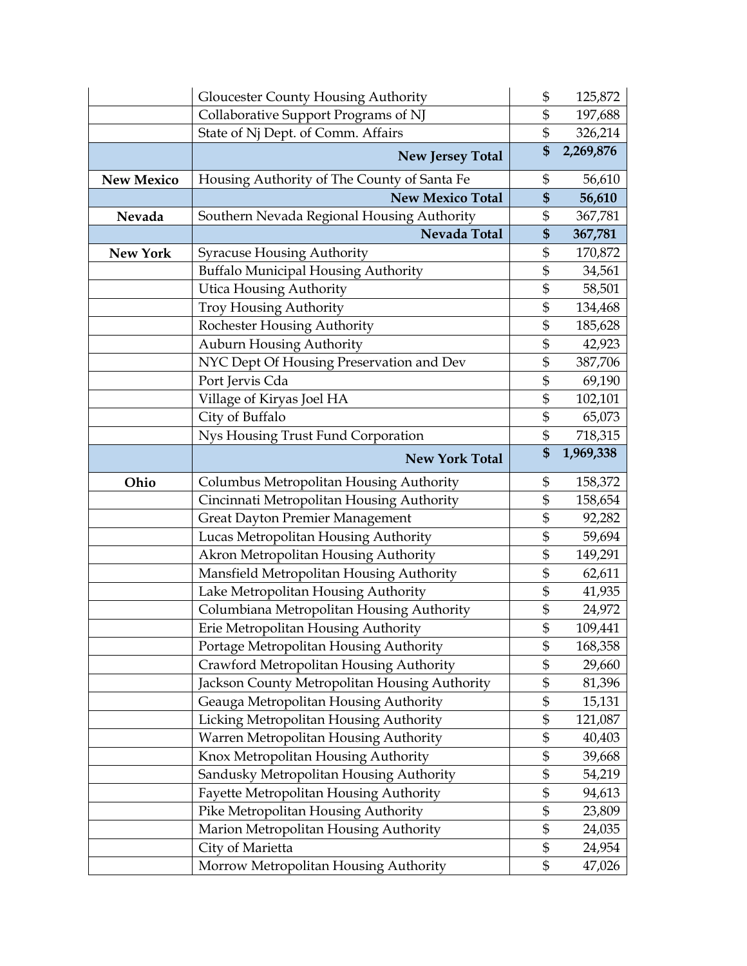|                   | <b>Gloucester County Housing Authority</b>                                       | \$<br>125,872            |
|-------------------|----------------------------------------------------------------------------------|--------------------------|
|                   | Collaborative Support Programs of NJ                                             | \$<br>197,688            |
|                   | State of Nj Dept. of Comm. Affairs                                               | \$<br>326,214            |
|                   | <b>New Jersey Total</b>                                                          | \$<br>2,269,876          |
| <b>New Mexico</b> | Housing Authority of The County of Santa Fe                                      | \$<br>56,610             |
|                   | <b>New Mexico Total</b>                                                          | \$<br>56,610             |
| Nevada            | Southern Nevada Regional Housing Authority                                       | \$<br>367,781            |
|                   | Nevada Total                                                                     | \$<br>367,781            |
| <b>New York</b>   | <b>Syracuse Housing Authority</b>                                                | \$<br>170,872            |
|                   | <b>Buffalo Municipal Housing Authority</b>                                       | \$<br>34,561             |
|                   | <b>Utica Housing Authority</b>                                                   | \$<br>58,501             |
|                   | <b>Troy Housing Authority</b>                                                    | \$<br>134,468            |
|                   | Rochester Housing Authority                                                      | \$<br>185,628            |
|                   | Auburn Housing Authority                                                         | \$<br>42,923             |
|                   | NYC Dept Of Housing Preservation and Dev                                         | \$<br>387,706            |
|                   | Port Jervis Cda                                                                  | \$<br>69,190             |
|                   | Village of Kiryas Joel HA                                                        | \$<br>102,101            |
|                   | City of Buffalo                                                                  | \$<br>65,073             |
|                   | Nys Housing Trust Fund Corporation                                               | \$<br>718,315            |
|                   | <b>New York Total</b>                                                            | \$<br>1,969,338          |
|                   |                                                                                  |                          |
| Ohio              |                                                                                  | \$                       |
|                   | Columbus Metropolitan Housing Authority                                          | \$<br>158,372<br>158,654 |
|                   | Cincinnati Metropolitan Housing Authority                                        | \$                       |
|                   | Great Dayton Premier Management                                                  | \$<br>92,282<br>59,694   |
|                   | Lucas Metropolitan Housing Authority                                             | \$<br>149,291            |
|                   | Akron Metropolitan Housing Authority                                             | \$<br>62,611             |
|                   | Mansfield Metropolitan Housing Authority<br>Lake Metropolitan Housing Authority  | \$                       |
|                   |                                                                                  | \$<br>41,935             |
|                   | Columbiana Metropolitan Housing Authority<br>Erie Metropolitan Housing Authority | \$<br>24,972<br>109,441  |
|                   | Portage Metropolitan Housing Authority                                           | \$<br>168,358            |
|                   | Crawford Metropolitan Housing Authority                                          | \$<br>29,660             |
|                   | Jackson County Metropolitan Housing Authority                                    | \$<br>81,396             |
|                   | Geauga Metropolitan Housing Authority                                            | \$<br>15,131             |
|                   |                                                                                  | \$<br>121,087            |
|                   | Licking Metropolitan Housing Authority                                           | \$<br>40,403             |
|                   | Warren Metropolitan Housing Authority<br>Knox Metropolitan Housing Authority     | \$<br>39,668             |
|                   | Sandusky Metropolitan Housing Authority                                          | \$<br>54,219             |
|                   | Fayette Metropolitan Housing Authority                                           | \$<br>94,613             |
|                   | Pike Metropolitan Housing Authority                                              | \$<br>23,809             |
|                   | Marion Metropolitan Housing Authority                                            | \$<br>24,035             |
|                   | City of Marietta                                                                 | \$<br>24,954             |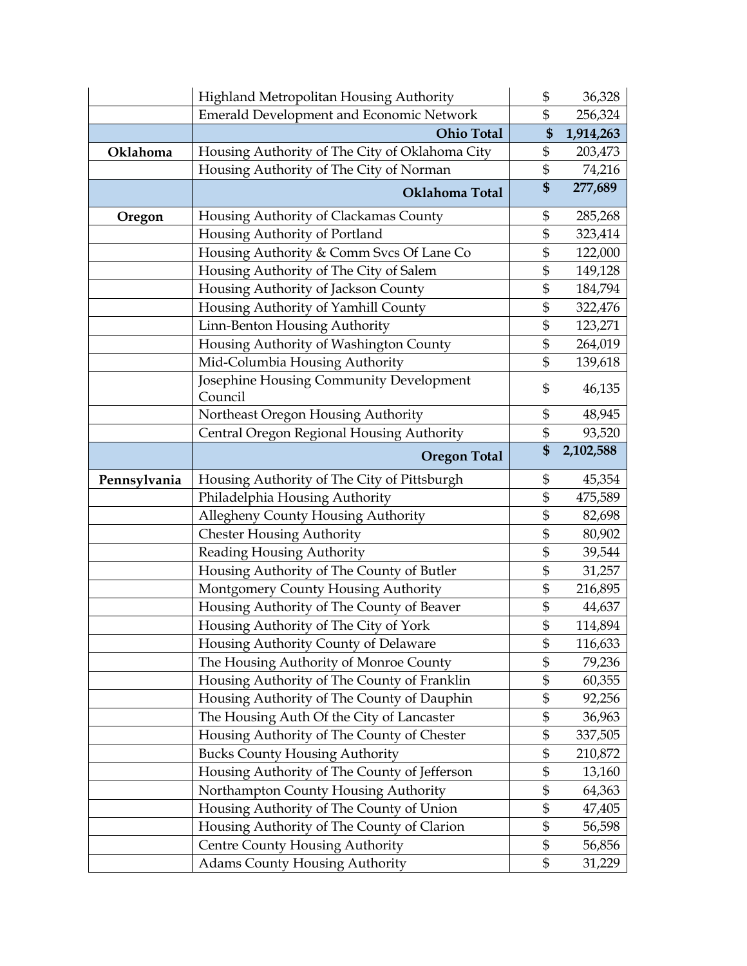|              | Highland Metropolitan Housing Authority                                       | \$            | 36,328            |
|--------------|-------------------------------------------------------------------------------|---------------|-------------------|
|              | <b>Emerald Development and Economic Network</b>                               | \$            | 256,324           |
|              | <b>Ohio Total</b>                                                             | \$            | 1,914,263         |
| Oklahoma     | Housing Authority of The City of Oklahoma City                                | \$            | 203,473           |
|              | Housing Authority of The City of Norman                                       | \$            | 74,216            |
|              | Oklahoma Total                                                                | \$            | 277,689           |
| Oregon       | Housing Authority of Clackamas County                                         | \$            | 285,268           |
|              | Housing Authority of Portland                                                 | \$            | 323,414           |
|              | Housing Authority & Comm Svcs Of Lane Co                                      | \$            | 122,000           |
|              | Housing Authority of The City of Salem                                        | \$            | 149,128           |
|              | Housing Authority of Jackson County                                           | \$            | 184,794           |
|              | Housing Authority of Yamhill County                                           | \$            | 322,476           |
|              | Linn-Benton Housing Authority                                                 | \$            | 123,271           |
|              | Housing Authority of Washington County                                        | \$            | 264,019           |
|              | Mid-Columbia Housing Authority                                                | \$            | 139,618           |
|              | Josephine Housing Community Development<br>Council                            | \$            | 46,135            |
|              | Northeast Oregon Housing Authority                                            | \$            | 48,945            |
|              | Central Oregon Regional Housing Authority                                     | \$            | 93,520            |
|              | <b>Oregon Total</b>                                                           | \$            | 2,102,588         |
|              |                                                                               |               |                   |
|              |                                                                               | \$            |                   |
| Pennsylvania | Housing Authority of The City of Pittsburgh<br>Philadelphia Housing Authority | $\frac{1}{2}$ | 45,354<br>475,589 |
|              | Allegheny County Housing Authority                                            | \$            | 82,698            |
|              | <b>Chester Housing Authority</b>                                              | \$            | 80,902            |
|              | Reading Housing Authority                                                     | \$            | 39,544            |
|              | Housing Authority of The County of Butler                                     | \$            | 31,257            |
|              | Montgomery County Housing Authority                                           | \$            | 216,895           |
|              | Housing Authority of The County of Beaver                                     | \$            | 44,637            |
|              | Housing Authority of The City of York                                         | \$            | 114,894           |
|              | Housing Authority County of Delaware                                          | \$            | 116,633           |
|              | The Housing Authority of Monroe County                                        | \$            | 79,236            |
|              | Housing Authority of The County of Franklin                                   | \$            | 60,355            |
|              | Housing Authority of The County of Dauphin                                    | \$            | 92,256            |
|              | The Housing Auth Of the City of Lancaster                                     | \$            | 36,963            |
|              | Housing Authority of The County of Chester                                    | \$            | 337,505           |
|              | <b>Bucks County Housing Authority</b>                                         | \$            | 210,872           |
|              | Housing Authority of The County of Jefferson                                  | \$            | 13,160            |
|              | Northampton County Housing Authority                                          | \$            | 64,363            |
|              | Housing Authority of The County of Union                                      | \$            | 47,405            |
|              | Housing Authority of The County of Clarion                                    | \$            | 56,598            |
|              | Centre County Housing Authority                                               | \$            | 56,856            |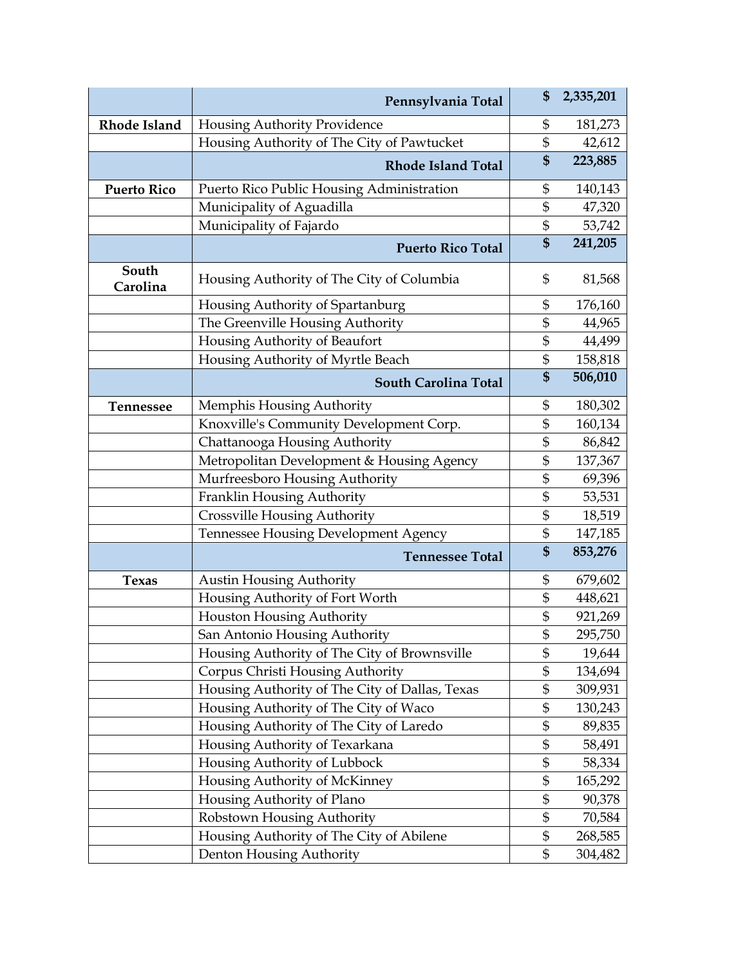|                    | Pennsylvania Total                             | \$<br>2,335,201 |
|--------------------|------------------------------------------------|-----------------|
| Rhode Island       | Housing Authority Providence                   | \$<br>181,273   |
|                    | Housing Authority of The City of Pawtucket     | \$<br>42,612    |
|                    | <b>Rhode Island Total</b>                      | \$<br>223,885   |
| <b>Puerto Rico</b> | Puerto Rico Public Housing Administration      | \$<br>140,143   |
|                    | Municipality of Aguadilla                      | \$<br>47,320    |
|                    | Municipality of Fajardo                        | \$<br>53,742    |
|                    | <b>Puerto Rico Total</b>                       | \$<br>241,205   |
| South<br>Carolina  | Housing Authority of The City of Columbia      | \$<br>81,568    |
|                    | Housing Authority of Spartanburg               | \$<br>176,160   |
|                    | The Greenville Housing Authority               | \$<br>44,965    |
|                    | Housing Authority of Beaufort                  | \$<br>44,499    |
|                    | Housing Authority of Myrtle Beach              | \$<br>158,818   |
|                    | South Carolina Total                           | \$<br>506,010   |
| <b>Tennessee</b>   | Memphis Housing Authority                      | \$<br>180,302   |
|                    | Knoxville's Community Development Corp.        | \$<br>160,134   |
|                    | Chattanooga Housing Authority                  | \$<br>86,842    |
|                    | Metropolitan Development & Housing Agency      | \$<br>137,367   |
|                    | Murfreesboro Housing Authority                 | \$<br>69,396    |
|                    | Franklin Housing Authority                     | \$<br>53,531    |
|                    | <b>Crossville Housing Authority</b>            | \$<br>18,519    |
|                    | <b>Tennessee Housing Development Agency</b>    | \$<br>147,185   |
|                    | <b>Tennessee Total</b>                         | \$<br>853,276   |
| <b>Texas</b>       | <b>Austin Housing Authority</b>                | \$<br>679,602   |
|                    | Housing Authority of Fort Worth                | \$<br>448,621   |
|                    | Houston Housing Authority                      | \$<br>921,269   |
|                    | San Antonio Housing Authority                  | \$<br>295,750   |
|                    | Housing Authority of The City of Brownsville   | \$<br>19,644    |
|                    | Corpus Christi Housing Authority               | \$<br>134,694   |
|                    | Housing Authority of The City of Dallas, Texas | \$<br>309,931   |
|                    | Housing Authority of The City of Waco          | \$<br>130,243   |
|                    | Housing Authority of The City of Laredo        | \$<br>89,835    |
|                    | Housing Authority of Texarkana                 | \$<br>58,491    |
|                    | Housing Authority of Lubbock                   | \$<br>58,334    |
|                    | Housing Authority of McKinney                  | \$<br>165,292   |
|                    | Housing Authority of Plano                     | \$<br>90,378    |
|                    | Robstown Housing Authority                     | \$<br>70,584    |
|                    | Housing Authority of The City of Abilene       | \$<br>268,585   |
|                    | Denton Housing Authority                       | \$<br>304,482   |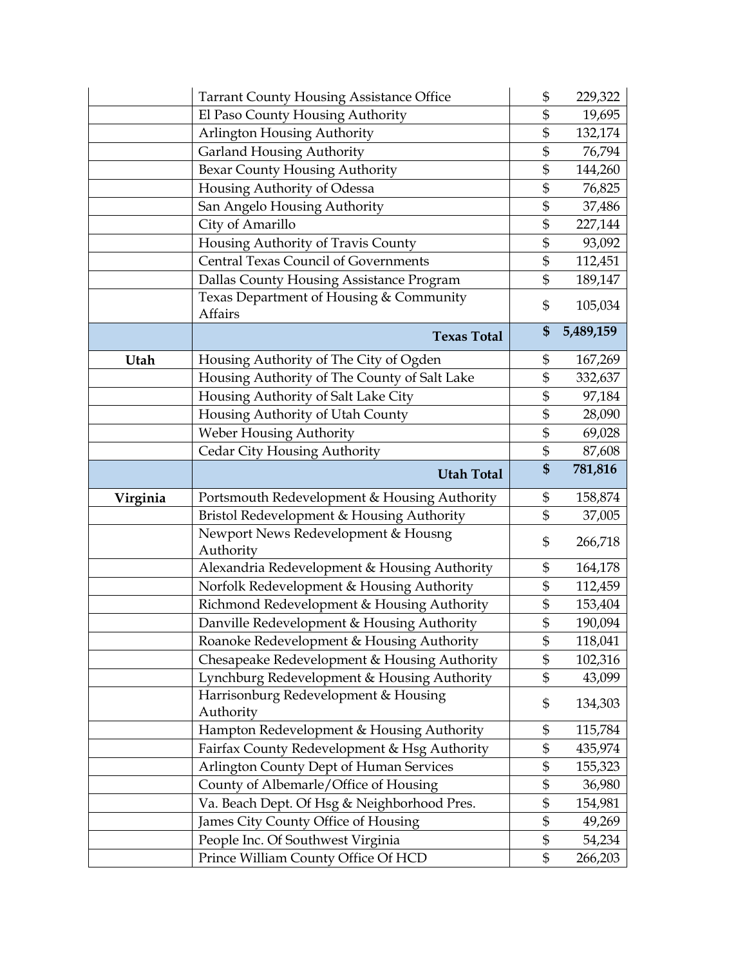|          | <b>Tarrant County Housing Assistance Office</b>                                           | \$<br>229,322            |
|----------|-------------------------------------------------------------------------------------------|--------------------------|
|          | El Paso County Housing Authority                                                          | \$<br>19,695             |
|          | Arlington Housing Authority                                                               | \$<br>132,174            |
|          | <b>Garland Housing Authority</b>                                                          | \$<br>76,794             |
|          | Bexar County Housing Authority                                                            | \$<br>144,260            |
|          | Housing Authority of Odessa                                                               | \$<br>76,825             |
|          | San Angelo Housing Authority                                                              | \$<br>37,486             |
|          | City of Amarillo                                                                          | \$<br>227,144            |
|          | Housing Authority of Travis County                                                        | \$<br>93,092             |
|          | <b>Central Texas Council of Governments</b>                                               | \$<br>112,451            |
|          | Dallas County Housing Assistance Program                                                  | \$<br>189,147            |
|          | Texas Department of Housing & Community                                                   |                          |
|          | Affairs                                                                                   | \$<br>105,034            |
|          | <b>Texas Total</b>                                                                        | \$<br>5,489,159          |
| Utah     | Housing Authority of The City of Ogden                                                    | \$<br>167,269            |
|          | Housing Authority of The County of Salt Lake                                              | \$<br>332,637            |
|          | Housing Authority of Salt Lake City                                                       | \$<br>97,184             |
|          | Housing Authority of Utah County                                                          | \$<br>28,090             |
|          | Weber Housing Authority                                                                   | \$<br>69,028             |
|          | Cedar City Housing Authority                                                              | \$<br>87,608             |
|          | <b>Utah Total</b>                                                                         | \$<br>781,816            |
| Virginia | Portsmouth Redevelopment & Housing Authority                                              | \$<br>158,874            |
|          | Bristol Redevelopment & Housing Authority                                                 | \$<br>37,005             |
|          | Newport News Redevelopment & Housng                                                       |                          |
|          | Authority                                                                                 | \$<br>266,718            |
|          |                                                                                           |                          |
|          |                                                                                           |                          |
|          | Alexandria Redevelopment & Housing Authority                                              | \$<br>164,178            |
|          | Norfolk Redevelopment & Housing Authority                                                 | \$<br>112,459            |
|          | Richmond Redevelopment & Housing Authority                                                | \$<br>153,404            |
|          | Danville Redevelopment & Housing Authority                                                | \$<br>190,094            |
|          | Roanoke Redevelopment & Housing Authority                                                 | \$<br>118,041            |
|          | Chesapeake Redevelopment & Housing Authority                                              | \$<br>102,316            |
|          | Lynchburg Redevelopment & Housing Authority                                               | \$<br>43,099             |
|          | Harrisonburg Redevelopment & Housing                                                      | \$<br>134,303            |
|          | Authority                                                                                 | \$                       |
|          | Hampton Redevelopment & Housing Authority<br>Fairfax County Redevelopment & Hsg Authority | \$<br>115,784<br>435,974 |
|          | Arlington County Dept of Human Services                                                   | \$<br>155,323            |
|          | County of Albemarle/Office of Housing                                                     | \$<br>36,980             |
|          |                                                                                           | \$<br>154,981            |
|          | Va. Beach Dept. Of Hsg & Neighborhood Pres.                                               | \$                       |
|          | James City County Office of Housing<br>People Inc. Of Southwest Virginia                  | \$<br>49,269<br>54,234   |